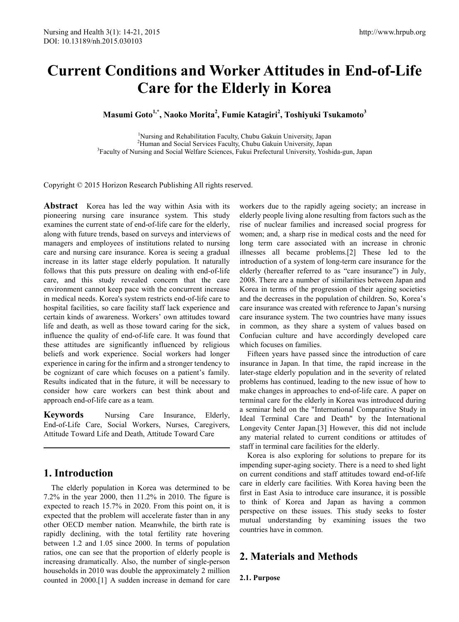# **Current Conditions and Worker Attitudes in End-of-Life Care for the Elderly in Korea**

**Masumi Goto1,\*, Naoko Morita2 , Fumie Katagiri<sup>2</sup> , Toshiyuki Tsukamoto<sup>3</sup>**

<sup>1</sup>Nursing and Rehabilitation Faculty, Chubu Gakuin University, Japan <sup>2</sup>Human and Social Services Faculty, Chubu Gakuin University, Japan<sup>3</sup>Ecculty of Nursing and Social Welfare Sciences, Eulay Prefectural University, Vosh <sup>3</sup>Faculty of Nursing and Social Welfare Sciences, Fukui Prefectural University, Yoshida-gun, Japan

Copyright © 2015 Horizon Research Publishing All rights reserved.

**Abstract** Korea has led the way within Asia with its pioneering nursing care insurance system. This study examines the current state of end-of-life care for the elderly, along with future trends, based on surveys and interviews of managers and employees of institutions related to nursing care and nursing care insurance. Korea is seeing a gradual increase in its latter stage elderly population. It naturally follows that this puts pressure on dealing with end-of-life care, and this study revealed concern that the care environment cannot keep pace with the concurrent increase in medical needs. Korea's system restricts end-of-life care to hospital facilities, so care facility staff lack experience and certain kinds of awareness. Workers' own attitudes toward life and death, as well as those toward caring for the sick, influence the quality of end-of-life care. It was found that these attitudes are significantly influenced by religious beliefs and work experience. Social workers had longer experience in caring for the infirm and a stronger tendency to be cognizant of care which focuses on a patient's family. Results indicated that in the future, it will be necessary to consider how care workers can best think about and approach end-of-life care as a team.

**Keywords** Nursing Care Insurance, Elderly, End-of-Life Care, Social Workers, Nurses, Caregivers, Attitude Toward Life and Death, Attitude Toward Care

# **1. Introduction**

The elderly population in Korea was determined to be 7.2% in the year 2000, then 11.2% in 2010. The figure is expected to reach 15.7% in 2020. From this point on, it is expected that the problem will accelerate faster than in any other OECD member nation. Meanwhile, the birth rate is rapidly declining, with the total fertility rate hovering between 1.2 and 1.05 since 2000. In terms of population ratios, one can see that the proportion of elderly people is increasing dramatically. Also, the number of single-person households in 2010 was double the approximately 2 million counted in 2000.[1] A sudden increase in demand for care

workers due to the rapidly ageing society; an increase in elderly people living alone resulting from factors such as the rise of nuclear families and increased social progress for women; and, a sharp rise in medical costs and the need for long term care associated with an increase in chronic illnesses all became problems.[2] These led to the introduction of a system of long-term care insurance for the elderly (hereafter referred to as "care insurance") in July, 2008. There are a number of similarities between Japan and Korea in terms of the progression of their ageing societies and the decreases in the population of children. So, Korea's care insurance was created with reference to Japan's nursing care insurance system. The two countries have many issues in common, as they share a system of values based on Confucian culture and have accordingly developed care which focuses on families.

Fifteen years have passed since the introduction of care insurance in Japan. In that time, the rapid increase in the later-stage elderly population and in the severity of related problems has continued, leading to the new issue of how to make changes in approaches to end-of-life care. A paper on terminal care for the elderly in Korea was introduced during a seminar held on the "International Comparative Study in Ideal Terminal Care and Death" by the International Longevity Center Japan.[3] However, this did not include any material related to current conditions or attitudes of staff in terminal care facilities for the elderly.

Korea is also exploring for solutions to prepare for its impending super-aging society. There is a need to shed light on current conditions and staff attitudes toward end-of-life care in elderly care facilities. With Korea having been the first in East Asia to introduce care insurance, it is possible to think of Korea and Japan as having a common perspective on these issues. This study seeks to foster mutual understanding by examining issues the two countries have in common.

# **2. Materials and Methods**

**2.1. Purpose**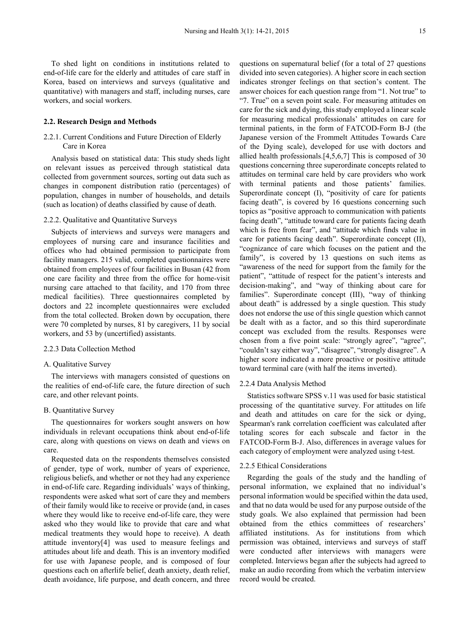To shed light on conditions in institutions related to end-of-life care for the elderly and attitudes of care staff in Korea, based on interviews and surveys (qualitative and quantitative) with managers and staff, including nurses, care workers, and social workers.

#### **2.2. Research Design and Methods**

#### 2.2.1. Current Conditions and Future Direction of Elderly Care in Korea

Analysis based on statistical data: This study sheds light on relevant issues as perceived through statistical data collected from government sources, sorting out data such as changes in component distribution ratio (percentages) of population, changes in number of households, and details (such as location) of deaths classified by cause of death.

#### 2.2.2. Qualitative and Quantitative Surveys

Subjects of interviews and surveys were managers and employees of nursing care and insurance facilities and offices who had obtained permission to participate from facility managers. 215 valid, completed questionnaires were obtained from employees of four facilities in Busan (42 from one care facility and three from the office for home-visit nursing care attached to that facility, and 170 from three medical facilities). Three questionnaires completed by doctors and 22 incomplete questionnaires were excluded from the total collected. Broken down by occupation, there were 70 completed by nurses, 81 by caregivers, 11 by social workers, and 53 by (uncertified) assistants.

#### 2.2.3 Data Collection Method

#### A. Qualitative Survey

The interviews with managers consisted of questions on the realities of end-of-life care, the future direction of such care, and other relevant points.

#### B. Quantitative Survey

The questionnaires for workers sought answers on how individuals in relevant occupations think about end-of-life care, along with questions on views on death and views on care.

Requested data on the respondents themselves consisted of gender, type of work, number of years of experience, religious beliefs, and whether or not they had any experience in end-of-life care. Regarding individuals' ways of thinking, respondents were asked what sort of care they and members of their family would like to receive or provide (and, in cases where they would like to receive end-of-life care, they were asked who they would like to provide that care and what medical treatments they would hope to receive). A death attitude inventory[4] was used to measure feelings and attitudes about life and death. This is an inventory modified for use with Japanese people, and is composed of four questions each on afterlife belief, death anxiety, death relief, death avoidance, life purpose, and death concern, and three

questions on supernatural belief (for a total of 27 questions divided into seven categories). A higher score in each section indicates stronger feelings on that section's content. The answer choices for each question range from "1. Not true" to "7. True" on a seven point scale. For measuring attitudes on care for the sick and dying, this study employed a linear scale for measuring medical professionals' attitudes on care for terminal patients, in the form of FATCOD-Form B-J (the Japanese version of the Frommelt Attitudes Towards Care of the Dying scale), developed for use with doctors and allied health professionals.[4,5,6,7] This is composed of 30 questions concerning three superordinate concepts related to attitudes on terminal care held by care providers who work with terminal patients and those patients' families. Superordinate concept (I), "positivity of care for patients facing death", is covered by 16 questions concerning such topics as "positive approach to communication with patients facing death", "attitude toward care for patients facing death which is free from fear", and "attitude which finds value in care for patients facing death". Superordinate concept (II), "cognizance of care which focuses on the patient and the family", is covered by 13 questions on such items as "awareness of the need for support from the family for the patient", "attitude of respect for the patient's interests and decision-making", and "way of thinking about care for families". Superordinate concept (III), "way of thinking about death" is addressed by a single question. This study does not endorse the use of this single question which cannot be dealt with as a factor, and so this third superordinate concept was excluded from the results. Responses were chosen from a five point scale: "strongly agree", "agree", "couldn't say either way", "disagree", "strongly disagree". A higher score indicated a more proactive or positive attitude toward terminal care (with half the items inverted).

#### 2.2.4 Data Analysis Method

Statistics software SPSS v.11 was used for basic statistical processing of the quantitative survey. For attitudes on life and death and attitudes on care for the sick or dying, Spearman's rank correlation coefficient was calculated after totaling scores for each subscale and factor in the FATCOD-Form B-J. Also, differences in average values for each category of employment were analyzed using t-test.

#### 2.2.5 Ethical Considerations

Regarding the goals of the study and the handling of personal information, we explained that no individual's personal information would be specified within the data used, and that no data would be used for any purpose outside of the study goals. We also explained that permission had been obtained from the ethics committees of researchers' affiliated institutions. As for institutions from which permission was obtained, interviews and surveys of staff were conducted after interviews with managers were completed. Interviews began after the subjects had agreed to make an audio recording from which the verbatim interview record would be created.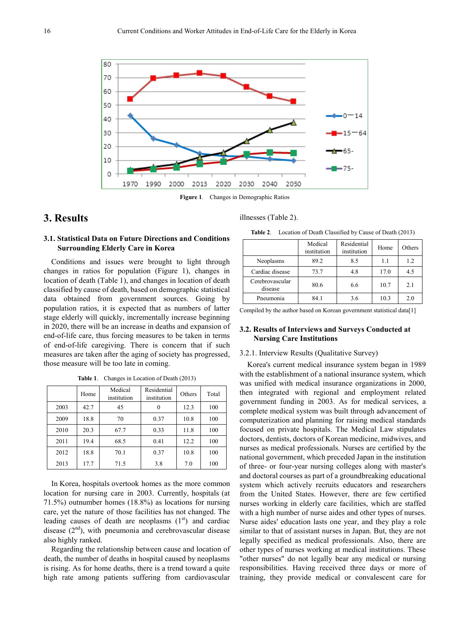

**Figure 1**. Changes in Demographic Ratios

# **3. Results**

#### illnesses (Table 2).

**3.1. Statistical Data on Future Directions and Conditions Surrounding Elderly Care in Korea**

Conditions and issues were brought to light through changes in ratios for population (Figure 1), changes in location of death (Table 1), and changes in location of death classified by cause of death, based on demographic statistical data obtained from government sources. Going by population ratios, it is expected that as numbers of latter stage elderly will quickly, incrementally increase beginning in 2020, there will be an increase in deaths and expansion of end-of-life care, thus forcing measures to be taken in terms of end-of-life caregiving. There is concern that if such measures are taken after the aging of society has progressed, those measure will be too late in coming.

|      | Home         | Medical<br>institution | Residential<br>institution | Others | Total |  |
|------|--------------|------------------------|----------------------------|--------|-------|--|
| 2003 | 42.7         | 45                     | $\theta$                   | 12.3   | 100   |  |
| 2009 | 18.8         | 70                     | 0.37                       | 10.8   | 100   |  |
| 2010 | 20.3<br>67.7 |                        | 0.33                       | 11.8   | 100   |  |
| 2011 | 19.4         | 68.5                   | 0.41                       | 12.2   | 100   |  |
| 2012 | 18.8         | 70.1                   | 0.37                       | 10.8   | 100   |  |
| 2013 | 17.7         | 71.5                   | 3.8                        | 7.0    | 100   |  |

**Table 1**. Changes in Location of Death (2013)

In Korea, hospitals overtook homes as the more common location for nursing care in 2003. Currently, hospitals (at 71.5%) outnumber homes (18.8%) as locations for nursing care, yet the nature of those facilities has not changed. The leading causes of death are neoplasms  $(1<sup>st</sup>)$  and cardiac disease  $(2<sup>nd</sup>)$ , with pneumonia and cerebrovascular disease also highly ranked.

Regarding the relationship between cause and location of death, the number of deaths in hospital caused by neoplasms is rising. As for home deaths, there is a trend toward a quite high rate among patients suffering from cardiovascular

**Table 2**. Location of Death Classified by Cause of Death (2013)

|                            | Medical<br>institution | Residential<br>institution | Home | Others |
|----------------------------|------------------------|----------------------------|------|--------|
| Neoplasms                  | 89.2                   | 8.5                        | 1.1  | 1.2    |
| Cardiac disease            | 73.7                   | 4.8                        | 17.0 | 4.5    |
| Cerebrovascular<br>disease | 80.6                   | 6.6                        | 10.7 | 2.1    |
| Pneumonia                  | 84.1                   | 3.6                        | 10.3 | 2.0    |

Compiled by the author based on Korean government statistical data[1]

#### **3.2. Results of Interviews and Surveys Conducted at Nursing Care Institutions**

#### 3.2.1. Interview Results (Qualitative Survey)

Korea's current medical insurance system began in 1989 with the establishment of a national insurance system, which was unified with medical insurance organizations in 2000, then integrated with regional and employment related government funding in 2003. As for medical services, a complete medical system was built through advancement of computerization and planning for raising medical standards focused on private hospitals. The Medical Law stipulates doctors, dentists, doctors of Korean medicine, midwives, and nurses as medical professionals. Nurses are certified by the national government, which preceded Japan in the institution of three- or four-year nursing colleges along with master's and doctoral courses as part of a groundbreaking educational system which actively recruits educators and researchers from the United States. However, there are few certified nurses working in elderly care facilities, which are staffed with a high number of nurse aides and other types of nurses. Nurse aides' education lasts one year, and they play a role similar to that of assistant nurses in Japan. But, they are not legally specified as medical professionals. Also, there are other types of nurses working at medical institutions. These "other nurses" do not legally bear any medical or nursing responsibilities. Having received three days or more of training, they provide medical or convalescent care for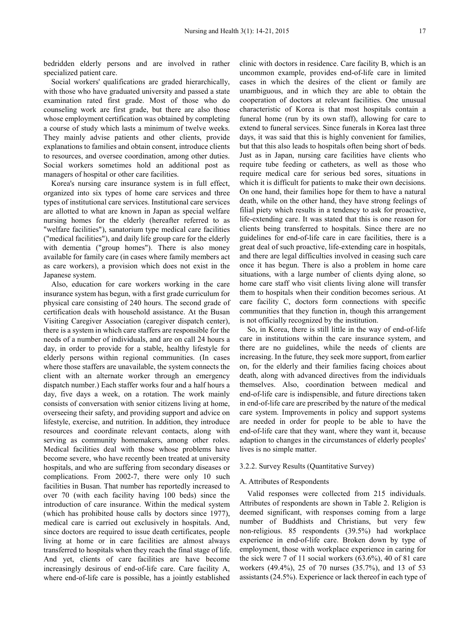bedridden elderly persons and are involved in rather specialized patient care.

Social workers' qualifications are graded hierarchically, with those who have graduated university and passed a state examination rated first grade. Most of those who do counseling work are first grade, but there are also those whose employment certification was obtained by completing a course of study which lasts a minimum of twelve weeks. They mainly advise patients and other clients, provide explanations to families and obtain consent, introduce clients to resources, and oversee coordination, among other duties. Social workers sometimes hold an additional post as managers of hospital or other care facilities.

Korea's nursing care insurance system is in full effect, organized into six types of home care services and three types of institutional care services. Institutional care services are allotted to what are known in Japan as special welfare nursing homes for the elderly (hereafter referred to as "welfare facilities"), sanatorium type medical care facilities ("medical facilities"), and daily life group care for the elderly with dementia ("group homes"). There is also money available for family care (in cases where family members act as care workers), a provision which does not exist in the Japanese system.

Also, education for care workers working in the care insurance system has begun, with a first grade curriculum for physical care consisting of 240 hours. The second grade of certification deals with household assistance. At the Busan Visiting Caregiver Association (caregiver dispatch center), there is a system in which care staffers are responsible for the needs of a number of individuals, and are on call 24 hours a day, in order to provide for a stable, healthy lifestyle for elderly persons within regional communities. (In cases where those staffers are unavailable, the system connects the client with an alternate worker through an emergency dispatch number.) Each staffer works four and a half hours a day, five days a week, on a rotation. The work mainly consists of conversation with senior citizens living at home, overseeing their safety, and providing support and advice on lifestyle, exercise, and nutrition. In addition, they introduce resources and coordinate relevant contacts, along with serving as community homemakers, among other roles. Medical facilities deal with those whose problems have become severe, who have recently been treated at university hospitals, and who are suffering from secondary diseases or complications. From 2002-7, there were only 10 such facilities in Busan. That number has reportedly increased to over 70 (with each facility having 100 beds) since the introduction of care insurance. Within the medical system (which has prohibited house calls by doctors since 1977), medical care is carried out exclusively in hospitals. And, since doctors are required to issue death certificates, people living at home or in care facilities are almost always transferred to hospitals when they reach the final stage of life. And yet, clients of care facilities are have become increasingly desirous of end-of-life care. Care facility A, where end-of-life care is possible, has a jointly established

clinic with doctors in residence. Care facility B, which is an uncommon example, provides end-of-life care in limited cases in which the desires of the client or family are unambiguous, and in which they are able to obtain the cooperation of doctors at relevant facilities. One unusual characteristic of Korea is that most hospitals contain a funeral home (run by its own staff), allowing for care to extend to funeral services. Since funerals in Korea last three days, it was said that this is highly convenient for families, but that this also leads to hospitals often being short of beds. Just as in Japan, nursing care facilities have clients who require tube feeding or catheters, as well as those who require medical care for serious bed sores, situations in which it is difficult for patients to make their own decisions. On one hand, their families hope for them to have a natural death, while on the other hand, they have strong feelings of filial piety which results in a tendency to ask for proactive, life-extending care. It was stated that this is one reason for clients being transferred to hospitals. Since there are no guidelines for end-of-life care in care facilities, there is a great deal of such proactive, life-extending care in hospitals, and there are legal difficulties involved in ceasing such care once it has begun. There is also a problem in home care situations, with a large number of clients dying alone, so home care staff who visit clients living alone will transfer them to hospitals when their condition becomes serious. At care facility C, doctors form connections with specific communities that they function in, though this arrangement is not officially recognized by the institution.

So, in Korea, there is still little in the way of end-of-life care in institutions within the care insurance system, and there are no guidelines, while the needs of clients are increasing. In the future, they seek more support, from earlier on, for the elderly and their families facing choices about death, along with advanced directives from the individuals themselves. Also, coordination between medical and end-of-life care is indispensible, and future directions taken in end-of-life care are prescribed by the nature of the medical care system. Improvements in policy and support systems are needed in order for people to be able to have the end-of-life care that they want, where they want it, because adaption to changes in the circumstances of elderly peoples' lives is no simple matter.

#### 3.2.2. Survey Results (Quantitative Survey)

#### A. Attributes of Respondents

Valid responses were collected from 215 individuals. Attributes of respondents are shown in Table 2. Religion is deemed significant, with responses coming from a large number of Buddhists and Christians, but very few non-religious. 85 respondents (39.5%) had workplace experience in end-of-life care. Broken down by type of employment, those with workplace experience in caring for the sick were 7 of 11 social workers (63.6%), 40 of 81 care workers (49.4%), 25 of 70 nurses (35.7%), and 13 of 53 assistants (24.5%). Experience or lack thereof in each type of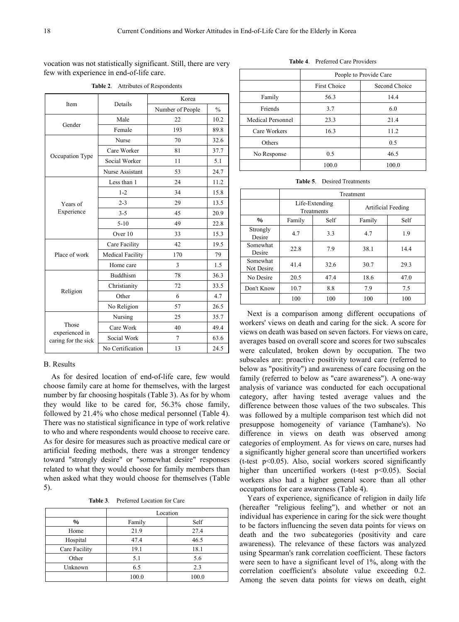vocation was not statistically significant. Still, there are very few with experience in end-of-life care.

| Item                    | Details                 | Korea            |               |  |  |  |
|-------------------------|-------------------------|------------------|---------------|--|--|--|
|                         |                         | Number of People | $\frac{0}{0}$ |  |  |  |
| Gender                  | Male                    | 22               | 10.2          |  |  |  |
|                         | Female                  | 193              | 89.8          |  |  |  |
|                         | Nurse                   | 70               | 32.6          |  |  |  |
|                         | Care Worker             | 81               | 37.7          |  |  |  |
| Occupation Type         | Social Worker           | 11               | 5.1           |  |  |  |
|                         | Nurse Assistant         | 53               | 24.7          |  |  |  |
|                         | Less than 1             | 24               | 11.2          |  |  |  |
|                         | $1 - 2$                 | 34               | 15.8          |  |  |  |
| Years of                | $2 - 3$                 | 29               | 13.5          |  |  |  |
| Experience              | $3 - 5$                 | 45               | 20.9          |  |  |  |
|                         | $5-10$                  | 49               | 22.8          |  |  |  |
|                         | Over 10                 | 33               | 15.3          |  |  |  |
|                         | Care Facility           | 42               | 19.5          |  |  |  |
| Place of work           | <b>Medical Facility</b> | 170              | 79            |  |  |  |
|                         | Home care               | 3                | 1.5           |  |  |  |
|                         | <b>Buddhism</b>         | 78               | 36.3          |  |  |  |
|                         | Christianity            | 72               | 33.5          |  |  |  |
| Religion                | Other                   | 6                | 4.7           |  |  |  |
|                         | No Religion             | 57               | 26.5          |  |  |  |
|                         | Nursing                 | 25               | 35.7          |  |  |  |
| Those<br>experienced in | Care Work               | 40               | 49.4          |  |  |  |
| caring for the sick     | Social Work             | $\tau$           | 63.6          |  |  |  |
|                         | No Certification        | 13               | 24.5          |  |  |  |

**Table 2**. Attributes of Respondents

#### B. Results

As for desired location of end-of-life care, few would choose family care at home for themselves, with the largest number by far choosing hospitals (Table 3). As for by whom they would like to be cared for, 56.3% chose family, followed by 21.4% who chose medical personnel (Table 4). There was no statistical significance in type of work relative to who and where respondents would choose to receive care. As for desire for measures such as proactive medical care or artificial feeding methods, there was a stronger tendency toward "strongly desire" or "somewhat desire" responses related to what they would choose for family members than when asked what they would choose for themselves (Table 5).

**Table 3**. Preferred Location for Care

|               | Location |       |  |  |  |  |  |  |
|---------------|----------|-------|--|--|--|--|--|--|
| $\%$          | Family   | Self  |  |  |  |  |  |  |
| Home          | 21.9     | 27.4  |  |  |  |  |  |  |
| Hospital      | 47.4     | 46.5  |  |  |  |  |  |  |
| Care Facility | 19.1     | 18.1  |  |  |  |  |  |  |
| Other         | 5.1      | 5.6   |  |  |  |  |  |  |
| Unknown       | 6.5      | 2.3   |  |  |  |  |  |  |
|               | 100.0    | 100.0 |  |  |  |  |  |  |

People to Provide Care First Choice Second Choice Family 56.3 14.4 Friends 3.7 6.0 Medical Personnel 23.3 21.4 Care Workers 16.3 11.2

| Table 5. | Desired Treatments |
|----------|--------------------|
|          |                    |

100.0 100.0

Others 0.5 No Response  $0.5$  46.5

|                        | Treatment |                              |                    |      |  |  |  |  |  |
|------------------------|-----------|------------------------------|--------------------|------|--|--|--|--|--|
|                        |           | Life-Extending<br>Treatments | Artificial Feeding |      |  |  |  |  |  |
| %                      | Family    | Self                         | Family             | Self |  |  |  |  |  |
| Strongly<br>Desire     | 4.7       | 3.3                          | 4.7                | 1.9  |  |  |  |  |  |
| Somewhat<br>Desire     | 22.8      | 7.9                          | 38.1               | 14.4 |  |  |  |  |  |
| Somewhat<br>Not Desire | 41.4      | 32.6                         | 30.7               | 29.3 |  |  |  |  |  |
| No Desire              | 20.5      | 47.4                         | 18.6               | 47.0 |  |  |  |  |  |
| Don't Know             | 10.7      | 8.8                          | 7.9                | 7.5  |  |  |  |  |  |
|                        | 100       | 100                          | 100                | 100  |  |  |  |  |  |

Next is a comparison among different occupations of workers' views on death and caring for the sick. A score for views on death was based on seven factors. For views on care, averages based on overall score and scores for two subscales were calculated, broken down by occupation. The two subscales are: proactive positivity toward care (referred to below as "positivity") and awareness of care focusing on the family (referred to below as "care awareness"). A one-way analysis of variance was conducted for each occupational category, after having tested average values and the difference between those values of the two subscales. This was followed by a multiple comparison test which did not presuppose homogeneity of variance (Tamhane's). No difference in views on death was observed among categories of employment. As for views on care, nurses had a significantly higher general score than uncertified workers (t-test p<0.05). Also, social workers scored significantly higher than uncertified workers (t-test  $p<0.05$ ). Social workers also had a higher general score than all other occupations for care awareness (Table 4).

Years of experience, significance of religion in daily life (hereafter "religious feeling"), and whether or not an individual has experience in caring for the sick were thought to be factors influencing the seven data points for views on death and the two subcategories (positivity and care awareness). The relevance of these factors was analyzed using Spearman's rank correlation coefficient. These factors were seen to have a significant level of 1%, along with the correlation coefficient's absolute value exceeding 0.2. Among the seven data points for views on death, eight

**Table 4**. Preferred Care Providers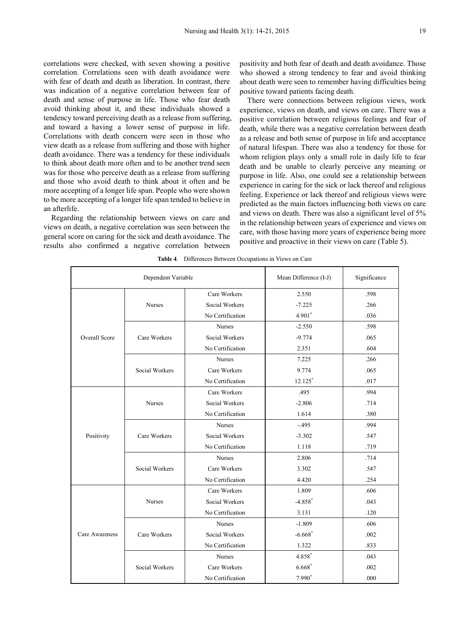correlations were checked, with seven showing a positive correlation. Correlations seen with death avoidance were with fear of death and death as liberation. In contrast, there was indication of a negative correlation between fear of death and sense of purpose in life. Those who fear death avoid thinking about it, and these individuals showed a tendency toward perceiving death as a release from suffering, and toward a having a lower sense of purpose in life. Correlations with death concern were seen in those who view death as a release from suffering and those with higher death avoidance. There was a tendency for these individuals to think about death more often and to be another trend seen was for those who perceive death as a release from suffering and those who avoid death to think about it often and be more accepting of a longer life span. People who were shown to be more accepting of a longer life span tended to believe in an afterlife.

Regarding the relationship between views on care and views on death, a negative correlation was seen between the general score on caring for the sick and death avoidance. The results also confirmed a negative correlation between

positivity and both fear of death and death avoidance. Those who showed a strong tendency to fear and avoid thinking about death were seen to remember having difficulties being positive toward patients facing death.

There were connections between religious views, work experience, views on death, and views on care. There was a positive correlation between religious feelings and fear of death, while there was a negative correlation between death as a release and both sense of purpose in life and acceptance of natural lifespan. There was also a tendency for those for whom religion plays only a small role in daily life to fear death and be unable to clearly perceive any meaning or purpose in life. Also, one could see a relationship between experience in caring for the sick or lack thereof and religious feeling. Experience or lack thereof and religious views were predicted as the main factors influencing both views on care and views on death. There was also a significant level of 5% in the relationship between years of experience and views on care, with those having more years of experience being more positive and proactive in their views on care (Table 5).

|                      | Dependent Variable | Mean Difference (I-J) | Significance          |      |
|----------------------|--------------------|-----------------------|-----------------------|------|
|                      |                    | Care Workers          | 2.550                 | .598 |
|                      | <b>Nurses</b>      | Social Workers        | $-7.225$              | .266 |
|                      |                    | No Certification      | $4.901*$              | .036 |
|                      |                    | <b>Nurses</b>         | $-2.550$              | .598 |
| <b>Overall Score</b> | Care Workers       | Social Workers        | $-9.774$              | .065 |
|                      |                    | No Certification      | 2.351                 | .604 |
|                      |                    | Nurses                | 7.225                 | .266 |
|                      | Social Workers     | Care Workers          | 9.774                 | .065 |
|                      |                    | No Certification      | $12.125$ *            | .017 |
|                      |                    | Care Workers          | .495                  | .994 |
|                      | <b>Nurses</b>      | Social Workers        | $-2.806$              | .714 |
|                      |                    | No Certification      | 1.614                 | .380 |
|                      |                    | <b>Nurses</b>         | $-.495$               | .994 |
| Positivity           | Care Workers       | Social Workers        | $-3.302$              | .547 |
|                      |                    | No Certification      | 1.118                 | .719 |
|                      |                    | <b>Nurses</b>         | 2.806                 | .714 |
|                      | Social Workers     | Care Workers          | 3.302                 | .547 |
|                      |                    | No Certification      | 4.420                 | .254 |
|                      |                    | Care Workers          | 1.809                 | .606 |
|                      | <b>Nurses</b>      | Social Workers        | $-4.858*$             | .043 |
|                      |                    | No Certification      | 3.131                 | .120 |
|                      |                    | <b>Nurses</b>         | $-1.809$              | .606 |
| Care Awareness       | Care Workers       | Social Workers        | $-6.668$ <sup>*</sup> | .002 |
|                      |                    | No Certification      | 1.322                 | .833 |
|                      |                    | <b>Nurses</b>         | 4.858*                | .043 |
|                      | Social Workers     | Care Workers          | $6.668*$              | .002 |
|                      |                    | No Certification      | 7.990*                | .000 |

| <b>Table 4.</b> Differences Between Occupations in Views on Care |  |  |  |
|------------------------------------------------------------------|--|--|--|
|------------------------------------------------------------------|--|--|--|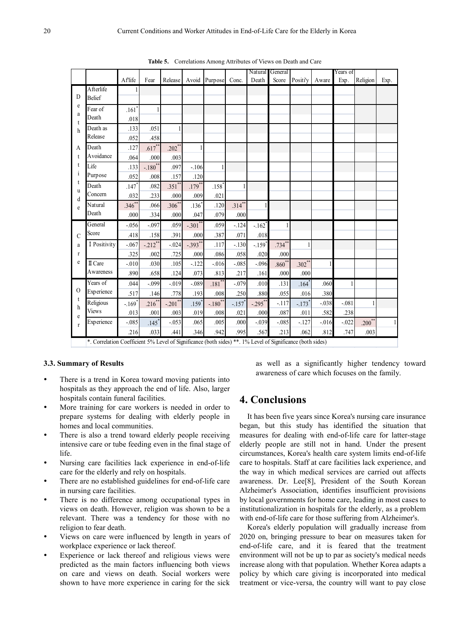|                   |                                                                                                            |                      |                       |                       |                     |                       |              | Natural              | General   |                      |              | Years of |             |      |
|-------------------|------------------------------------------------------------------------------------------------------------|----------------------|-----------------------|-----------------------|---------------------|-----------------------|--------------|----------------------|-----------|----------------------|--------------|----------|-------------|------|
|                   |                                                                                                            | Aflife               | Fear                  | Release               |                     | Avoid Purpose Conc.   |              | Death                | Score     | Positi'y             | Aware        | Exp.     | Religion    | Exp. |
| D                 | Afterlife                                                                                                  |                      |                       |                       |                     |                       |              |                      |           |                      |              |          |             |      |
|                   | <b>Belief</b>                                                                                              |                      |                       |                       |                     |                       |              |                      |           |                      |              |          |             |      |
| e                 | Fear of                                                                                                    | $.161$ <sup>*</sup>  |                       |                       |                     |                       |              |                      |           |                      |              |          |             |      |
| a<br>t            | Death                                                                                                      | .018                 |                       |                       |                     |                       |              |                      |           |                      |              |          |             |      |
| h                 | Death as                                                                                                   | .133                 | .051                  | $\mathbf{1}$          |                     |                       |              |                      |           |                      |              |          |             |      |
|                   | Release                                                                                                    | .052                 | .458                  |                       |                     |                       |              |                      |           |                      |              |          |             |      |
| A                 | Death                                                                                                      | .127                 | $.617**$              | $.202$ **             |                     |                       |              |                      |           |                      |              |          |             |      |
| t                 | Avoidance                                                                                                  | .064                 | .000                  | .003                  |                     |                       |              |                      |           |                      |              |          |             |      |
| t                 | Life                                                                                                       | .133                 | $-.180$ <sup>**</sup> | .097                  | $-.106$             | 1                     |              |                      |           |                      |              |          |             |      |
| $\mathbf{1}$      | Purpose                                                                                                    | .052                 | .008                  | .157                  | .120                |                       |              |                      |           |                      |              |          |             |      |
| t<br><sub>u</sub> | Death                                                                                                      | .147                 | .082                  | $.351$ **             | $.179***$           | $.158$ <sup>*</sup>   | $\mathbf{1}$ |                      |           |                      |              |          |             |      |
| d                 | Concern                                                                                                    | .032                 | .233                  | .000                  | .009                | .021                  |              |                      |           |                      |              |          |             |      |
| e                 | Natural                                                                                                    | $.346^{**}$          | .066                  | $.306^{**}$           | $.136$ <sup>*</sup> | .120                  | $.314***$    |                      |           |                      |              |          |             |      |
|                   | Death                                                                                                      | .000                 | .334                  | .000                  | .047                | .079                  | .000         |                      |           |                      |              |          |             |      |
|                   | General                                                                                                    | $-.056$              | $-.097$               | .059                  | $-.301$ **          | .059                  | $-.124$      | $-.162$ <sup>*</sup> |           |                      |              |          |             |      |
| $\mathcal{C}$     | Score                                                                                                      | .418                 | .158                  | .391                  | .000                | .387                  | .071         | .018                 |           |                      |              |          |             |      |
| a                 | I Positivity                                                                                               | $-.067$              | $-212$ <sup>**</sup>  | $-.024$               | $-0.393**$          | .117                  | $-.130$      | $-.159$ <sup>*</sup> | $.734***$ |                      |              |          |             |      |
| $\mathbf{r}$      |                                                                                                            | .325                 | .002                  | .725                  | .000                | .086                  | .058         | .020                 | .000      |                      |              |          |             |      |
| e                 | II Care                                                                                                    | $-.010$              | .030                  | .105                  | $-122$              | $-0.016$              | $-.085$      | $-.096$              | $.860**$  | $.302**$             | $\mathbf{1}$ |          |             |      |
|                   | Awareness                                                                                                  | .890                 | .658                  | .124                  | .073                | .813                  | .217         | .161                 | .000      | .000                 |              |          |             |      |
|                   | Years of                                                                                                   | .044                 | $-.099$               | $-0.019$              | $-.089$             | $.181$ <sup>**</sup>  | $-.079$      | .010                 | .131      | $.164*$              | .060         |          |             |      |
| $\Omega$          | Experience                                                                                                 | .517                 | .146                  | .778                  | .193                | .008                  | .250         | .880                 | .055      | .016                 | .380         |          |             |      |
| t<br>h            | Religious                                                                                                  | $-.169$ <sup>*</sup> | $.216*$               | $-.201$ <sup>**</sup> | $.159*$             | $-.180$ <sup>**</sup> | $-.157$      | $-.295$ **           | $-.117$   | $-.173$ <sup>*</sup> | $-.038$      | $-.081$  |             |      |
| e                 | <b>Views</b>                                                                                               | .013                 | .001                  | .003                  | .019                | .008                  | .021         | .000                 | .087      | .011                 | .582         | .238     |             |      |
| $\mathbf{r}$      | Experience                                                                                                 | $-.085$              | $.145$ <sup>*</sup>   | $-.053$               | .065                | .005                  | .000         | $-.039$              | $-.085$   | $-127$               | $-0.016$     | $-.022$  | $.200^{**}$ |      |
|                   |                                                                                                            | .216                 | .033                  | .441                  | .346                | .942                  | .995         | .567                 | .213      | .062                 | .812         | .747     | .003        |      |
|                   | *. Correlation Coefficient 5% Level of Significance (both sides) **. 1% Level of Significance (both sides) |                      |                       |                       |                     |                       |              |                      |           |                      |              |          |             |      |

**Table 5.** Correlations Among Attributes of Views on Death and Care

#### **3.3. Summary of Results**

- There is a trend in Korea toward moving patients into hospitals as they approach the end of life. Also, larger hospitals contain funeral facilities.
- More training for care workers is needed in order to prepare systems for dealing with elderly people in homes and local communities.
- There is also a trend toward elderly people receiving intensive care or tube feeding even in the final stage of life.
- Nursing care facilities lack experience in end-of-life care for the elderly and rely on hospitals.
- There are no established guidelines for end-of-life care in nursing care facilities.
- There is no difference among occupational types in views on death. However, religion was shown to be a relevant. There was a tendency for those with no religion to fear death.
- Views on care were influenced by length in years of workplace experience or lack thereof.
- Experience or lack thereof and religious views were predicted as the main factors influencing both views on care and views on death. Social workers were shown to have more experience in caring for the sick

as well as a significantly higher tendency toward awareness of care which focuses on the family.

## **4. Conclusions**

It has been five years since Korea's nursing care insurance began, but this study has identified the situation that measures for dealing with end-of-life care for latter-stage elderly people are still not in hand. Under the present circumstances, Korea's health care system limits end-of-life care to hospitals. Staff at care facilities lack experience, and the way in which medical services are carried out affects awareness. Dr. Lee[8], President of the South Korean Alzheimer's Association, identifies insufficient provisions by local governments for home care, leading in most cases to institutionalization in hospitals for the elderly, as a problem with end-of-life care for those suffering from Alzheimer's.

Korea's elderly population will gradually increase from 2020 on, bringing pressure to bear on measures taken for end-of-life care, and it is feared that the treatment environment will not be up to par as society's medical needs increase along with that population. Whether Korea adapts a policy by which care giving is incorporated into medical treatment or vice-versa, the country will want to pay close